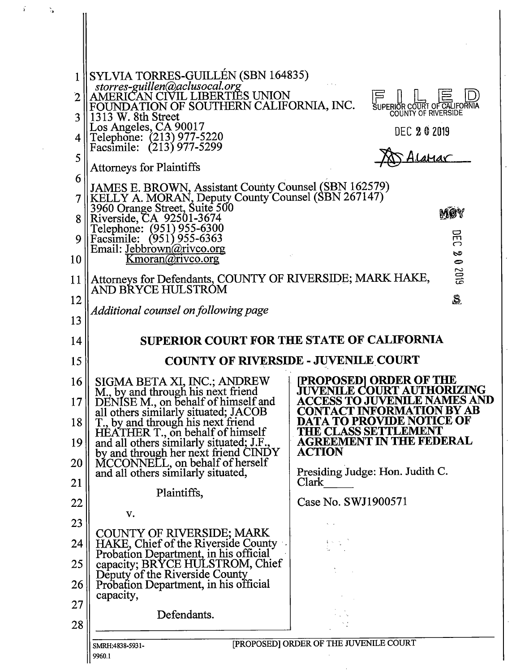

s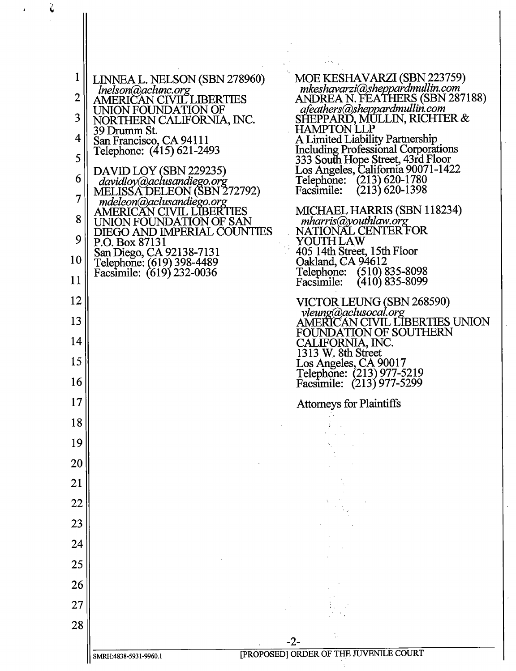| 1              | LINNEA L. NELSON (SBN 278960)                                                      | MOE KESHAVARZI (SBN 223759)<br>mkeshavarzi@sheppardmullin.com                   |
|----------------|------------------------------------------------------------------------------------|---------------------------------------------------------------------------------|
| $\overline{2}$ | Inelson@aclunc.org<br>AMERICAN CIVIL LIBERTIES                                     | ANDREA N. FEATHERS (SBN 287188)<br>afeathers@sheppardmullin.com                 |
| 3              | UNION FOUNDATION OF<br>NORTHERN CALIFORNIA, INC.                                   | SHEPPARD, MULLIN, RICHTER &<br><b>HAMPTON LLP</b>                               |
| 4              | 39 Drumm St.<br>San Francisco, CA 94111                                            | A Limited Liability Partnership                                                 |
| 5              | Telephone: (415) 621-2493                                                          | <b>Including Professional Corporations</b><br>333 South Hope Street, 43rd Floor |
| 6              | DAVID LOY (SBN 229235)<br>davidloy@aclusandiego.org<br>MELISSA DELEON (SBN 272792) | Los Angeles, California 90071-1422<br>Telephone: (213) 620-1780                 |
| $\overline{7}$ | mdeleon@aclusandiego.org                                                           | $(213)$ 620-1398<br>Facsimile:                                                  |
| 8              | <b>AMERICAN CIVIL LIBERTIES</b><br>UNION FOUNDATION OF SAN                         | MICHAEL HARRIS (SBN 118234)<br>mharris@youthlaw.org                             |
| 9              | DIEGO AND IMPERIAL COUNTIES<br>P.O. Box 87131                                      | NATIONAL CENTER FOR<br>YOUTH LAW                                                |
| 10             | San Diego, CA 92138-7131<br>Telephone: (619) 398-4489                              | 405 14th Street, 15th Floor<br>Oakland, CA 94612                                |
| 11             | Facsimile: (619) 232-0036                                                          | Telephone: (510) 835-8098<br>$(410)$ 835-8099<br>Facsimile:                     |
| 12             |                                                                                    | VICTOR LEUNG (SBN 268590)                                                       |
| 13             |                                                                                    | vleung@aclusocal.org<br>AMERICAN CIVIL LIBERTIES UNION                          |
| 14             |                                                                                    | FOUNDATION OF SOUTHERN<br>CALIFORNIA, INC.                                      |
| 15             |                                                                                    | 1313 W. 8th Street<br>Los Angeles, CA 90017                                     |
| 16             |                                                                                    | Telephone: (213) 977-5219<br>Facsimile: (213) 977-5299                          |
| 17             |                                                                                    | <b>Attorneys for Plaintiffs</b>                                                 |
| 18             |                                                                                    |                                                                                 |
| 19             |                                                                                    |                                                                                 |
| 20             |                                                                                    |                                                                                 |
| 21             |                                                                                    |                                                                                 |
| 22             |                                                                                    |                                                                                 |
| 23             |                                                                                    |                                                                                 |
| 24             |                                                                                    |                                                                                 |
| 25             |                                                                                    |                                                                                 |
| 26             |                                                                                    |                                                                                 |
| 27             |                                                                                    |                                                                                 |
| 28             |                                                                                    |                                                                                 |
|                |                                                                                    | -2-<br>[PROPOSED] ORDER OF THE JUVENILE COURT                                   |
|                | SMRH:4838-5931-9960.1                                                              |                                                                                 |

 $\mathbf{a}$ 

 $\frac{1}{4}$